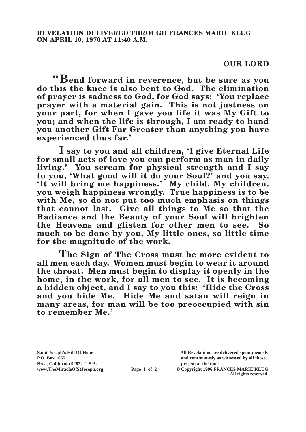## **OUR LORD**

**"Bend forward in reverence, but be sure as you do this the knee is also bent to God. The elimination of prayer is sadness to God, for God says: 'You replace prayer with a material gain. This is not justness on your part, for when I gave you life it was My Gift to you; and when the life is through, I am ready to hand you another Gift Far Greater than anything you have experienced thus far.'**

**I say to you and all children, 'I give Eternal Life for small acts of love you can perform as man in daily living.' You scream for physical strength and I say to you, 'What good will it do your Soul?' and you say, 'It will bring me happiness.' My child, My children, you weigh happiness wrongly. True happiness is to be**  with Me, so do not put too much emphasis on things **that cannot last. Give all things to Me so that the Radiance and the Beauty of your Soul will brighten the Heavens and glisten for other men to see. So much to be done by you, My little ones, so little time for the magnitude of the work.**

**The Sign of The Cross must be more evident to all men each day. Women must begin to wear it around the throat. Men must begin to display it openly in the home, in the work, for all men to see. It is becoming a hidden object, and I say to you this: 'Hide the Cross and you hide Me. Hide Me and satan will reign in many areas, for man will be too preoccupied with sin to remember Me.'**

**Brea, California 92822 U.S.A. present at the time.**<br> **present at the time.**<br> **present at the time.**<br> **Page 1 of 2** © Copyright 1996 FR.

**Saint Joseph's Hill Of Hope All Revelations are delivered spontaneously P.O. Box 1055 and continuously as witnessed by all those** 

**Page 1 of 2** © Copyright 1996 FRANCES MARIE KLUG **All rights reserved.**